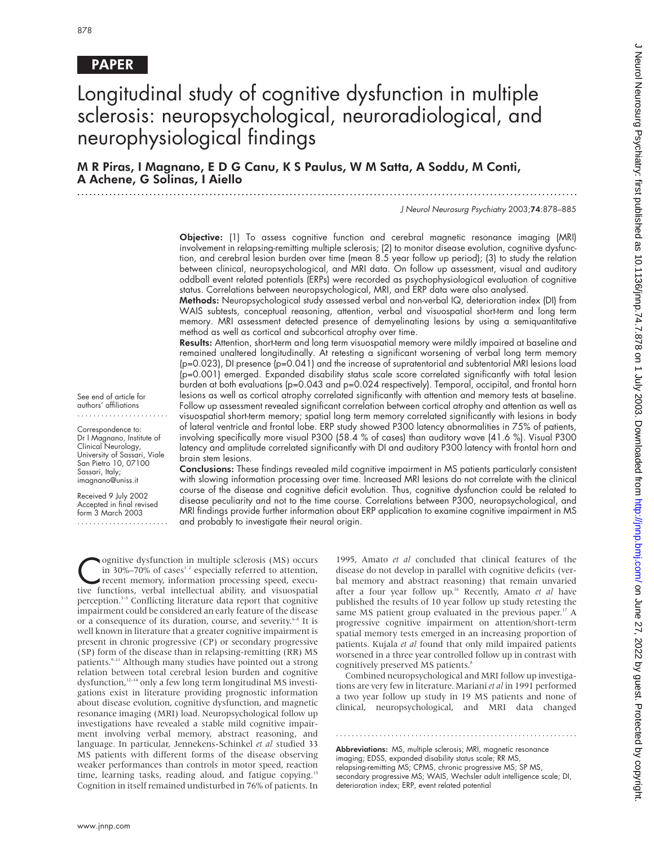# PAPER

# Longitudinal study of cognitive dysfunction in multiple sclerosis: neuropsychological, neuroradiological, and neurophysiological findings

M R Piras, I Magnano,EDG Canu, K S Paulus, W M Satta, A Soddu, M Conti, A Achene, G Solinas, I Aiello .............................................................................................................................

J Neurol Neurosurg Psychiatry 2003;74:878–885

Objective: (1) To assess cognitive function and cerebral magnetic resonance imaging (MRI) involvement in relapsing-remitting multiple sclerosis; (2) to monitor disease evolution, cognitive dysfunction, and cerebral lesion burden over time (mean 8.5 year follow up period); (3) to study the relation between clinical, neuropsychological, and MRI data. On follow up assessment, visual and auditory oddball event related potentials (ERPs) were recorded as psychophysiological evaluation of cognitive status. Correlations between neuropsychological, MRI, and ERP data were also analysed.

Methods: Neuropsychological study assessed verbal and non-verbal IQ, deterioration index (DI) from WAIS subtests, conceptual reasoning, attention, verbal and visuospatial short-term and long term memory. MRI assessment detected presence of demyelinating lesions by using a semiquantitative method as well as cortical and subcortical atrophy over time.

Results: Attention, short-term and long term visuospatial memory were mildly impaired at baseline and remained unaltered longitudinally. At retesting a significant worsening of verbal long term memory  $(p=0.023)$ , DI presence  $(p=0.041)$  and the increase of supratentorial and subtentorial MRI lesions load (p=0.001) emerged. Expanded disability status scale score correlated significantly with total lesion burden at both evaluations (p=0.043 and p=0.024 respectively). Temporal, occipital, and frontal horn lesions as well as cortical atrophy correlated significantly with attention and memory tests at baseline. Follow up assessment revealed significant correlation between cortical atrophy and attention as well as visuospatial short-term memory; spatial long term memory correlated significantly with lesions in body of lateral ventricle and frontal lobe. ERP study showed P300 latency abnormalities in 75% of patients, involving specifically more visual P300 (58.4 % of cases) than auditory wave (41.6 %). Visual P300 latency and amplitude correlated significantly with DI and auditory P300 latency with frontal horn and brain stem lesions.

Conclusions: These findings revealed mild cognitive impairment in MS patients particularly consistent with slowing information processing over time. Increased MRI lesions do not correlate with the clinical course of the disease and cognitive deficit evolution. Thus, cognitive dysfunction could be related to disease peculiarity and not to the time course. Correlations between P300, neuropsychological, and MRI findings provide further information about ERP application to examine cognitive impairment in MS and probably to investigate their neural origin.

Cognitive dysfunction in multiple sclerosis (MS) occurs<br>in 30%–70% of cases<sup>1,2</sup> especially referred to attention,<br>recent memory, information processing speed, execu-<br>tive functions, verbal intellectual ability and visuosp in 30%–70% of cases<sup>12</sup> especially referred to attention, tive functions, verbal intellectual ability, and visuospatial perception.<sup>3-5</sup> Conflicting literature data report that cognitive impairment could be considered an early feature of the disease or a consequence of its duration, course, and severity.<sup>6-8</sup> It is well known in literature that a greater cognitive impairment is present in chronic progressive (CP) or secondary progressive (SP) form of the disease than in relapsing-remitting (RR) MS patients.<sup>9-11</sup> Although many studies have pointed out a strong relation between total cerebral lesion burden and cognitive dysfunction,<sup>12-14</sup> only a few long term longitudinal MS investigations exist in literature providing prognostic information about disease evolution, cognitive dysfunction, and magnetic resonance imaging (MRI) load. Neuropsychological follow up investigations have revealed a stable mild cognitive impairment involving verbal memory, abstract reasoning, and language. In particular, Jennekens-Schinkel *et al* studied 33 MS patients with different forms of the disease observing weaker performances than controls in motor speed, reaction time, learning tasks, reading aloud, and fatigue copying.<sup>15</sup> Cognition in itself remained undisturbed in 76% of patients. In

1995, Amato *et al* concluded that clinical features of the disease do not develop in parallel with cognitive deficits (verbal memory and abstract reasoning) that remain unvaried after a four year follow up.16 Recently, Amato *et al* have published the results of 10 year follow up study retesting the same MS patient group evaluated in the previous paper.<sup>17</sup> A progressive cognitive impairment on attention/short-term spatial memory tests emerged in an increasing proportion of patients. Kujala *et al* found that only mild impaired patients worsened in a three year controlled follow up in contrast with cognitively preserved MS patients.<sup>8</sup>

Combined neuropsychological and MRI follow up investigations are very few in literature. Mariani *et al* in 1991 performed a two year follow up study in 19 MS patients and none of clinical, neuropsychological, and MRI data changed

.............................................................

Abbreviations: MS, multiple sclerosis; MRI, magnetic resonance imaging; EDSS, expanded disability status scale; RR MS, relapsing-remitting MS; CPMS, chronic progressive MS; SP MS, secondary progressive MS; WAIS, Wechsler adult intelligence scale; DI, deterioration index; ERP, event related potential

See end of article for authors' affiliations .......................

Correspondence to: Dr I Magnano, Institute of Clinical Neurology, University of Sassari, Viale San Pietro 10, 07100 Sassari, Italy; imagnano@uniss.it

Received 9 July 2002 Accepted in final revised form 3 March 2003

.......................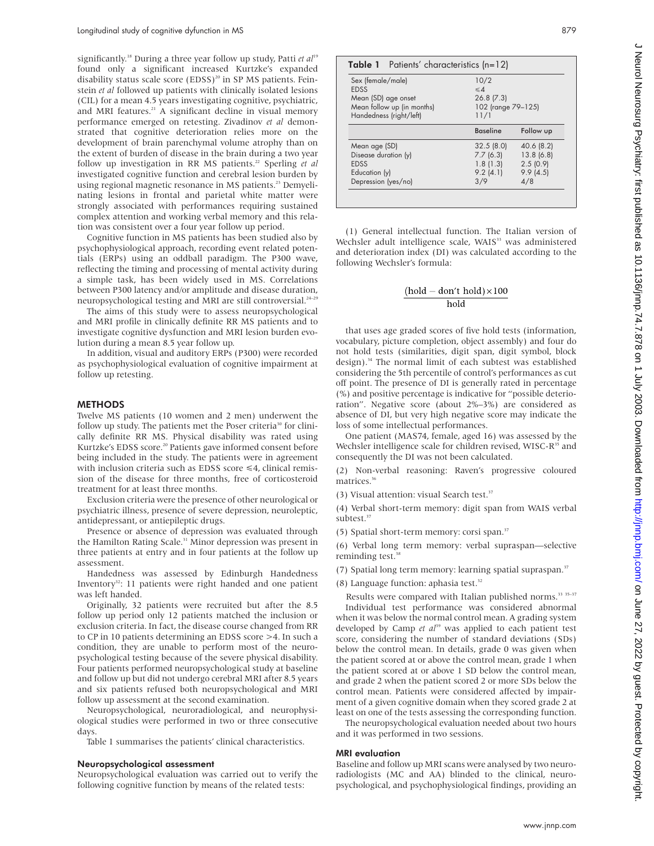significantly.<sup>18</sup> During a three year follow up study, Patti et al<sup>19</sup> found only a significant increased Kurtzke's expanded disability status scale score (EDSS)<sup>20</sup> in SP MS patients. Feinstein *et al* followed up patients with clinically isolated lesions (CIL) for a mean 4.5 years investigating cognitive, psychiatric, and MRI features.<sup>21</sup> A significant decline in visual memory performance emerged on retesting. Zivadinov *et al* demonstrated that cognitive deterioration relies more on the development of brain parenchymal volume atrophy than on the extent of burden of disease in the brain during a two year follow up investigation in RR MS patients.<sup>22</sup> Sperling *et al* investigated cognitive function and cerebral lesion burden by using regional magnetic resonance in MS patients.<sup>23</sup> Demyelinating lesions in frontal and parietal white matter were strongly associated with performances requiring sustained complex attention and working verbal memory and this relation was consistent over a four year follow up period.

Cognitive function in MS patients has been studied also by psychophysiological approach, recording event related potentials (ERPs) using an oddball paradigm. The P300 wave, reflecting the timing and processing of mental activity during a simple task, has been widely used in MS. Correlations between P300 latency and/or amplitude and disease duration, neuropsychological testing and MRI are still controversial.<sup>24-29</sup>

The aims of this study were to assess neuropsychological and MRI profile in clinically definite RR MS patients and to investigate cognitive dysfunction and MRI lesion burden evolution during a mean 8.5 year follow up.

In addition, visual and auditory ERPs (P300) were recorded as psychophysiological evaluation of cognitive impairment at follow up retesting.

# **METHODS**

Twelve MS patients (10 women and 2 men) underwent the follow up study. The patients met the Poser criteria<sup>30</sup> for clinically definite RR MS. Physical disability was rated using Kurtzke's EDSS score.<sup>20</sup> Patients gave informed consent before being included in the study. The patients were in agreement with inclusion criteria such as EDSS score <4, clinical remission of the disease for three months, free of corticosteroid treatment for at least three months.

Exclusion criteria were the presence of other neurological or psychiatric illness, presence of severe depression, neuroleptic, antidepressant, or antiepileptic drugs.

Presence or absence of depression was evaluated through the Hamilton Rating Scale.<sup>31</sup> Minor depression was present in three patients at entry and in four patients at the follow up assessment.

Handedness was assessed by Edinburgh Handedness Inventory<sup>32</sup>: 11 patients were right handed and one patient was left handed.

Originally, 32 patients were recruited but after the 8.5 follow up period only 12 patients matched the inclusion or exclusion criteria. In fact, the disease course changed from RR to CP in 10 patients determining an EDSS score >4. In such a condition, they are unable to perform most of the neuropsychological testing because of the severe physical disability. Four patients performed neuropsychological study at baseline and follow up but did not undergo cerebral MRI after 8.5 years and six patients refused both neuropsychological and MRI follow up assessment at the second examination.

Neuropsychological, neuroradiological, and neurophysiological studies were performed in two or three consecutive days.

Table 1 summarises the patients' clinical characteristics.

### Neuropsychological assessment

Neuropsychological evaluation was carried out to verify the following cognitive function by means of the related tests:

| Sex (female/male)          | 10/2               |            |  |  |
|----------------------------|--------------------|------------|--|--|
| <b>EDSS</b>                | $\leq \Delta$      |            |  |  |
| Mean (SD) age onset        | 26.8(7.3)          |            |  |  |
| Mean follow up (in months) | 102 (range 79-125) |            |  |  |
| Handedness (right/left)    | 11/1               |            |  |  |
|                            | <b>Baseline</b>    | Follow up  |  |  |
| Mean age (SD)              | 32.5(8.0)          | 40.6 (8.2) |  |  |
| Disease duration (y)       | 7.7(6.3)           | 13.8(6.8)  |  |  |
| <b>EDSS</b>                | 1.8(1.3)           | 2.5(0.9)   |  |  |
| Education (y)              | 9.2(4.1)           | 9.9(4.5)   |  |  |
|                            | 3/9                | 4/8        |  |  |

(1) General intellectual function. The Italian version of Wechsler adult intelligence scale, WAIS<sup>33</sup> was administered and deterioration index (DI) was calculated according to the following Wechsler's formula:

# $(hold - don't hold) \times 100$ hold

that uses age graded scores of five hold tests (information, vocabulary, picture completion, object assembly) and four do not hold tests (similarities, digit span, digit symbol, block design).<sup>34</sup> The normal limit of each subtest was established considering the 5th percentile of control's performances as cut off point. The presence of DI is generally rated in percentage (%) and positive percentage is indicative for "possible deterioration". Negative score (about 2%–3%) are considered as absence of DI, but very high negative score may indicate the loss of some intellectual performances.

One patient (MAS74, female, aged 16) was assessed by the Wechsler intelligence scale for children revised, WISC-R<sup>35</sup> and consequently the DI was not been calculated.

(2) Non-verbal reasoning: Raven's progressive coloured matrices.<sup>36</sup>

(3) Visual attention: visual Search test.<sup>37</sup>

(4) Verbal short-term memory: digit span from WAIS verbal subtest.<sup>37</sup>

(5) Spatial short-term memory: corsi span.37

(6) Verbal long term memory: verbal supraspan—selective reminding test.<sup>38</sup>

(7) Spatial long term memory: learning spatial supraspan.<sup>37</sup>

(8) Language function: aphasia test. $32$ 

Results were compared with Italian published norms.<sup>33</sup> 35-37 Individual test performance was considered abnormal when it was below the normal control mean. A grading system developed by Camp et al<sup>39</sup> was applied to each patient test score, considering the number of standard deviations (SDs) below the control mean. In details, grade 0 was given when the patient scored at or above the control mean, grade 1 when the patient scored at or above 1 SD below the control mean, and grade 2 when the patient scored 2 or more SDs below the control mean. Patients were considered affected by impairment of a given cognitive domain when they scored grade 2 at least on one of the tests assessing the corresponding function.

The neuropsychological evaluation needed about two hours and it was performed in two sessions.

# MRI evaluation

Baseline and follow up MRI scans were analysed by two neuroradiologists (MC and AA) blinded to the clinical, neuropsychological, and psychophysiological findings, providing an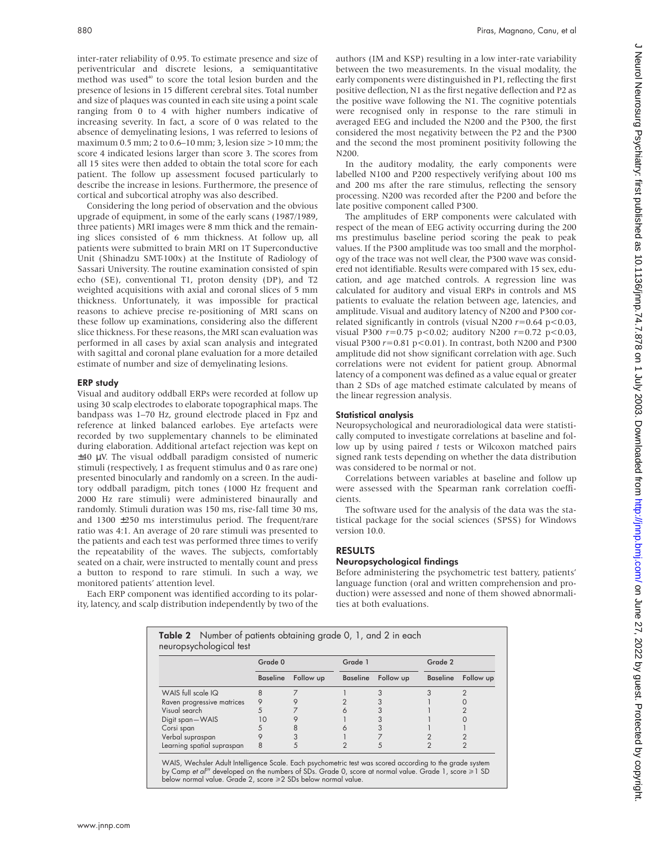inter-rater reliability of 0.95. To estimate presence and size of periventricular and discrete lesions, a semiquantitative method was used<sup>40</sup> to score the total lesion burden and the presence of lesions in 15 different cerebral sites. Total number and size of plaques was counted in each site using a point scale ranging from 0 to 4 with higher numbers indicative of increasing severity. In fact, a score of 0 was related to the absence of demyelinating lesions, 1 was referred to lesions of maximum 0.5 mm; 2 to 0.6–10 mm; 3, lesion size >10 mm; the score 4 indicated lesions larger than score 3. The scores from all 15 sites were then added to obtain the total score for each patient. The follow up assessment focused particularly to describe the increase in lesions. Furthermore, the presence of cortical and subcortical atrophy was also described.

Considering the long period of observation and the obvious upgrade of equipment, in some of the early scans (1987/1989, three patients) MRI images were 8 mm thick and the remaining slices consisted of 6 mm thickness. At follow up, all patients were submitted to brain MRI on 1T Superconductive Unit (Shinadzu SMT-100x) at the Institute of Radiology of Sassari University. The routine examination consisted of spin echo (SE), conventional T1, proton density (DP), and T2 weighted acquisitions with axial and coronal slices of 5 mm thickness. Unfortunately, it was impossible for practical reasons to achieve precise re-positioning of MRI scans on these follow up examinations, considering also the different slice thickness. For these reasons, the MRI scan evaluation was performed in all cases by axial scan analysis and integrated with sagittal and coronal plane evaluation for a more detailed estimate of number and size of demyelinating lesions.

#### ERP study

Visual and auditory oddball ERPs were recorded at follow up using 30 scalp electrodes to elaborate topographical maps. The bandpass was 1–70 Hz, ground electrode placed in Fpz and reference at linked balanced earlobes. Eye artefacts were recorded by two supplementary channels to be eliminated during elaboration. Additional artefact rejection was kept on ±40 µV. The visual oddball paradigm consisted of numeric stimuli (respectively, 1 as frequent stimulus and 0 as rare one) presented binocularly and randomly on a screen. In the auditory oddball paradigm, pitch tones (1000 Hz frequent and 2000 Hz rare stimuli) were administered binaurally and randomly. Stimuli duration was 150 ms, rise-fall time 30 ms, and 1300 ±250 ms interstimulus period. The frequent/rare ratio was 4:1. An average of 20 rare stimuli was presented to the patients and each test was performed three times to verify the repeatability of the waves. The subjects, comfortably seated on a chair, were instructed to mentally count and press a button to respond to rare stimuli. In such a way, we monitored patients' attention level.

Each ERP component was identified according to its polarity, latency, and scalp distribution independently by two of the authors (IM and KSP) resulting in a low inter-rate variability between the two measurements. In the visual modality, the early components were distinguished in P1, reflecting the first positive deflection, N1 as the first negative deflection and P2 as the positive wave following the N1. The cognitive potentials were recognised only in response to the rare stimuli in averaged EEG and included the N200 and the P300, the first considered the most negativity between the P2 and the P300 and the second the most prominent positivity following the N200.

In the auditory modality, the early components were labelled N100 and P200 respectively verifying about 100 ms and 200 ms after the rare stimulus, reflecting the sensory processing. N200 was recorded after the P200 and before the late positive component called P300.

The amplitudes of ERP components were calculated with respect of the mean of EEG activity occurring during the 200 ms prestimulus baseline period scoring the peak to peak values. If the P300 amplitude was too small and the morphology of the trace was not well clear, the P300 wave was considered not identifiable. Results were compared with 15 sex, education, and age matched controls. A regression line was calculated for auditory and visual ERPs in controls and MS patients to evaluate the relation between age, latencies, and amplitude. Visual and auditory latency of N200 and P300 correlated significantly in controls (visual N200 *r*=0.64 p<0.03, visual P300 *r*=0.75 p<0.02; auditory N200 *r*=0.72 p<0.03, visual P300 *r*=0.81 p<0.01). In contrast, both N200 and P300 amplitude did not show significant correlation with age. Such correlations were not evident for patient group. Abnormal latency of a component was defined as a value equal or greater than 2 SDs of age matched estimate calculated by means of the linear regression analysis.

# Statistical analysis

Neuropsychological and neuroradiological data were statistically computed to investigate correlations at baseline and follow up by using paired *t* tests or Wilcoxon matched pairs signed rank tests depending on whether the data distribution was considered to be normal or not.

Correlations between variables at baseline and follow up were assessed with the Spearman rank correlation coefficients.

The software used for the analysis of the data was the statistical package for the social sciences (SPSS) for Windows version 10.0.

# RESULTS

# Neuropsychological findings

Before administering the psychometric test battery, patients' language function (oral and written comprehension and production) were assessed and none of them showed abnormalities at both evaluations.

| <b>Table 2</b> Number of patients obtaining grade 0, 1, and 2 in each<br>neuropsychological test |                 |           |          |           |                 |           |
|--------------------------------------------------------------------------------------------------|-----------------|-----------|----------|-----------|-----------------|-----------|
|                                                                                                  | Grade 0         |           | Grade 1  |           | Grade 2         |           |
|                                                                                                  | <b>Baseline</b> | Follow up | Baseline | Follow up | <b>Baseline</b> | Follow up |
| WAIS full scale IQ                                                                               | 8               |           |          |           |                 |           |
| Raven progressive matrices                                                                       |                 |           |          |           |                 |           |
| Visual search                                                                                    |                 |           |          |           |                 |           |
| Digit span-WAIS                                                                                  |                 |           |          |           |                 |           |
| Corsi span                                                                                       |                 |           |          |           |                 |           |
| Verbal supraspan                                                                                 |                 |           |          |           |                 |           |
| Learning spatial supraspan                                                                       | 8               |           |          |           |                 | ◠         |

WAIS, Wechsler Adult Intelligence Scale. Each psychometric test was scored according to the grade system by Camp et al<sup>39</sup> developed on the numbers of SDs. Grade 0, score at normal value. Grade 1, score  $\geq 1$  SD below normal value. Grade 2, score  $\geq 2$  SDs below normal value.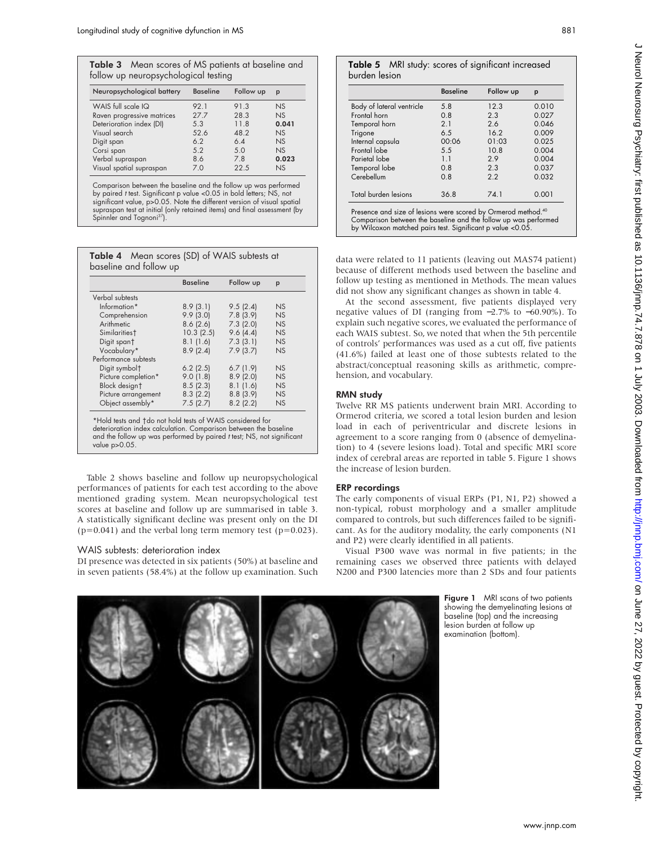| Table 3 Mean scores of MS patients at baseline and<br>follow up neuropsychological testing |  |  |
|--------------------------------------------------------------------------------------------|--|--|
| Neuronaughological hattory Racoline Follow up n                                            |  |  |

| <b>Baseline</b> | Follow up | p         |
|-----------------|-----------|-----------|
| 92.1            | 91.3      | <b>NS</b> |
| 27.7            | 28.3      | <b>NS</b> |
| 5.3             | 11.8      | 0.041     |
| 52.6            | 48.2      | <b>NS</b> |
| 6.2             | 6.4       | <b>NS</b> |
| 5.2             | 5.0       | <b>NS</b> |
| 8.6             | 7.8       | 0.023     |
| 7.0             | 22.5      | NS        |
|                 |           |           |

Comparison between the baseline and the follow up was performed by paired <sup>t</sup> test. Significant p value <0.05 in bold letters; NS, not significant value, p>0.05. Note the different version of visual spatial supraspan test at initial (only retained items) and final assessment (by Spinnler and Tognoni<sup>37</sup>).

| Table 4 Mean scores (SD) of WAIS subtests at |  |
|----------------------------------------------|--|
| baseline and follow up                       |  |

|                           | <b>Baseline</b> | Follow up | p         |
|---------------------------|-----------------|-----------|-----------|
| Verbal subtests           |                 |           |           |
| Information*              | 8.9(3.1)        | 9.5(2.4)  | NS        |
| Comprehension             | 9.9(3.0)        | 7.8(3.9)  | <b>NS</b> |
| Arithmetic                | 8.6(2.6)        | 7.3(2.0)  | NS        |
| Similarities <sup>†</sup> | 10.3(2.5)       | 9.6(4.4)  | NS        |
| Digit spant               | 8.1(1.6)        | 7.3(3.1)  | NS        |
| Vocabulary*               | 8.9(2.4)        | 7.9(3.7)  | NS        |
| Performance subtests      |                 |           |           |
| Digit symbol <sup>+</sup> | $6.2$ (2.5)     | 6.7(1.9)  | NS        |
| Picture completion*       | 9.0(1.8)        | 8.9(2.0)  | NS        |
| Block designt             | 8.5(2.3)        | 8.1(1.6)  | NS        |
| Picture arrangement       | 8.3(2.2)        | 8.8(3.9)  | NS        |
| Object assembly*          | 7.5(2.7)        | 8.2(2.2)  | NS        |

\*Hold tests and †do not hold tests of WAIS considered for deterioration index calculation. Comparison between the baseline and the follow up was performed by paired <sup>t</sup> test; NS, not significant value p>0.05.

Table 2 shows baseline and follow up neuropsychological performances of patients for each test according to the above mentioned grading system. Mean neuropsychological test scores at baseline and follow up are summarised in table 3. A statistically significant decline was present only on the DI  $(p=0.041)$  and the verbal long term memory test  $(p=0.023)$ .

# WAIS subtests: deterioration index

DI presence was detected in six patients (50%) at baseline and in seven patients (58.4%) at the follow up examination. Such

# Table 5 MRI study: scores of significant increased burden lesion

|                                                                                                                                                                                                            | <b>Baseline</b> | Follow up | p     |
|------------------------------------------------------------------------------------------------------------------------------------------------------------------------------------------------------------|-----------------|-----------|-------|
| Body of lateral ventricle                                                                                                                                                                                  | 5.8             | 12.3      | 0.010 |
| Frontal horn                                                                                                                                                                                               | 0.8             | 2.3       | 0.027 |
| Temporal horn                                                                                                                                                                                              | 2.1             | 2.6       | 0.046 |
| Trigone                                                                                                                                                                                                    | 6.5             | 16.2      | 0.009 |
| Internal capsula                                                                                                                                                                                           | 00:06           | 01:03     | 0.025 |
| Frontal lobe                                                                                                                                                                                               | 5.5             | 10.8      | 0.004 |
| Parietal lobe                                                                                                                                                                                              | 1.1             | 2.9       | 0.004 |
| Temporal lobe                                                                                                                                                                                              | 0.8             | 2.3       | 0.037 |
| Cerebellum                                                                                                                                                                                                 | 0.8             | 2.2       | 0.032 |
| Total burden lesions                                                                                                                                                                                       | 36.8            | 74.1      | 0.001 |
| Presence and size of lesions were scored by Ormerod method. <sup>40</sup><br>Comparison between the baseline and the follow up was performed<br>by Wilcoxon matched pairs test. Significant p value <0.05. |                 |           |       |

data were related to 11 patients (leaving out MAS74 patient) because of different methods used between the baseline and follow up testing as mentioned in Methods. The mean values did not show any significant changes as shown in table 4.

At the second assessment, five patients displayed very negative values of DI (ranging from −2.7% to −60.90%). To explain such negative scores, we evaluated the performance of each WAIS subtest. So, we noted that when the 5th percentile of controls' performances was used as a cut off, five patients (41.6%) failed at least one of those subtests related to the abstract/conceptual reasoning skills as arithmetic, comprehension, and vocabulary.

# RMN study

Twelve RR MS patients underwent brain MRI. According to Ormerod criteria, we scored a total lesion burden and lesion load in each of periventricular and discrete lesions in agreement to a score ranging from 0 (absence of demyelination) to 4 (severe lesions load). Total and specific MRI score index of cerebral areas are reported in table 5. Figure 1 shows the increase of lesion burden.

### ERP recordings

The early components of visual ERPs (P1, N1, P2) showed a non-typical, robust morphology and a smaller amplitude compared to controls, but such differences failed to be significant. As for the auditory modality, the early components (N1 and P2) were clearly identified in all patients.

Visual P300 wave was normal in five patients; in the remaining cases we observed three patients with delayed N200 and P300 latencies more than 2 SDs and four patients



Figure 1 MRI scans of two patients showing the demyelinating lesions at baseline (top) and the increasing lesion burden at follow up examination (bottom).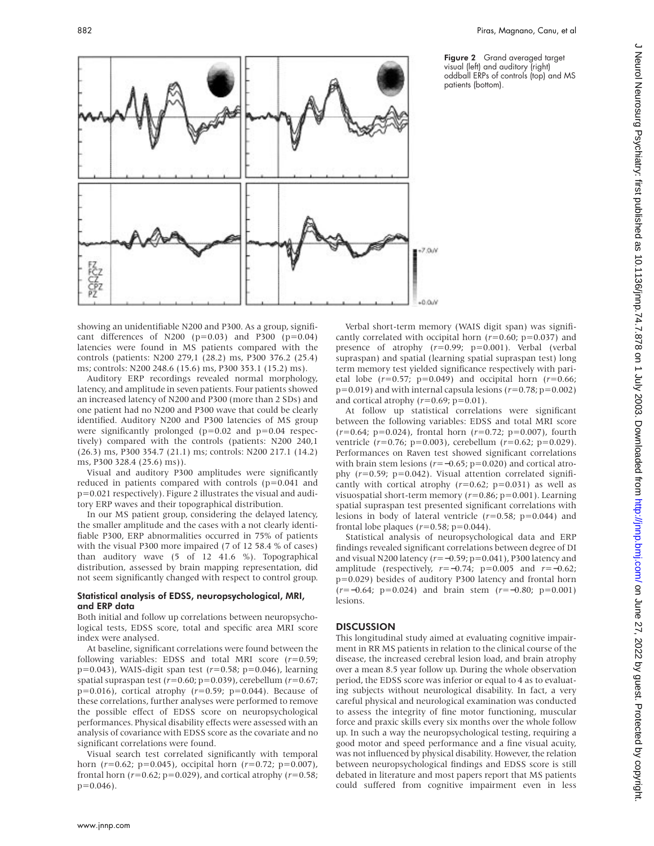Figure 2 Grand averaged target visual (left) and auditory (right) oddball ERPs of controls (top) and MS patients (bottom).



showing an unidentifiable N200 and P300. As a group, significant differences of N200 ( $p=0.03$ ) and P300 ( $p=0.04$ ) latencies were found in MS patients compared with the controls (patients: N200 279,1 (28.2) ms, P300 376.2 (25.4) ms; controls: N200 248.6 (15.6) ms, P300 353.1 (15.2) ms).

Auditory ERP recordings revealed normal morphology, latency, and amplitude in seven patients. Four patients showed an increased latency of N200 and P300 (more than 2 SDs) and one patient had no N200 and P300 wave that could be clearly identified. Auditory N200 and P300 latencies of MS group were significantly prolonged ( $p=0.02$  and  $p=0.04$  respectively) compared with the controls (patients: N200 240,1 (26.3) ms, P300 354.7 (21.1) ms; controls: N200 217.1 (14.2) ms, P300 328.4 (25.6) ms)).

Visual and auditory P300 amplitudes were significantly reduced in patients compared with controls (p=0.041 and p=0.021 respectively). Figure 2 illustrates the visual and auditory ERP waves and their topographical distribution.

In our MS patient group, considering the delayed latency, the smaller amplitude and the cases with a not clearly identifiable P300, ERP abnormalities occurred in 75% of patients with the visual P300 more impaired (7 of 12 58.4 % of cases) than auditory wave (5 of 12 41.6 %). Topographical distribution, assessed by brain mapping representation, did not seem significantly changed with respect to control group.

#### Statistical analysis of EDSS, neuropsychological, MRI, and ERP data

Both initial and follow up correlations between neuropsychological tests, EDSS score, total and specific area MRI score index were analysed.

At baseline, significant correlations were found between the following variables: EDSS and total MRI score (*r*=0.59; p=0.043), WAIS-digit span test (*r*=0.58; p=0.046), learning spatial supraspan test (*r*=0.60; p=0.039), cerebellum (*r*=0.67; p=0.016), cortical atrophy (*r*=0.59; p=0.044). Because of these correlations, further analyses were performed to remove the possible effect of EDSS score on neuropsychological performances. Physical disability effects were assessed with an analysis of covariance with EDSS score as the covariate and no significant correlations were found.

Visual search test correlated significantly with temporal horn (*r*=0.62; p=0.045), occipital horn (*r*=0.72; p=0.007), frontal horn (*r*=0.62; p=0.029), and cortical atrophy (*r*=0.58;  $p=0.046$ ).

Verbal short-term memory (WAIS digit span) was significantly correlated with occipital horn  $(r=0.60; p=0.037)$  and presence of atrophy (*r*=0.99; p=0.001). Verbal (verbal supraspan) and spatial (learning spatial supraspan test) long term memory test yielded significance respectively with parietal lobe  $(r=0.57; p=0.049)$  and occipital horn  $(r=0.66;$  $p=0.019$ ) and with internal capsula lesions ( $r=0.78$ ;  $p=0.002$ ) and cortical atrophy (*r*=0.69; p=0.01).

At follow up statistical correlations were significant between the following variables: EDSS and total MRI score (*r*=0.64; p=0.024), frontal horn (*r*=0.72; p=0.007), fourth ventricle (*r*=0.76; p=0.003), cerebellum (*r*=0.62; p=0.029). Performances on Raven test showed significant correlations with brain stem lesions (*r*=−0.65; p=0.020) and cortical atrophy (*r*=0.59; p=0.042). Visual attention correlated significantly with cortical atrophy  $(r=0.62; p=0.031)$  as well as visuospatial short-term memory (*r*=0.86; p=0.001). Learning spatial supraspan test presented significant correlations with lesions in body of lateral ventricle (*r*=0.58; p=0.044) and frontal lobe plaques (*r*=0.58; p=0.044).

Statistical analysis of neuropsychological data and ERP findings revealed significant correlations between degree of DI and visual N200 latency (*r*=−0.59; p=0.041), P300 latency and amplitude (respectively, *r*=−0.74; p=0.005 and *r*=−0.62; p=0.029) besides of auditory P300 latency and frontal horn (*r*=−0.64; p=0.024) and brain stem (*r*=−0.80; p=0.001) lesions.

# **DISCUSSION**

This longitudinal study aimed at evaluating cognitive impairment in RR MS patients in relation to the clinical course of the disease, the increased cerebral lesion load, and brain atrophy over a mean 8.5 year follow up. During the whole observation period, the EDSS score was inferior or equal to 4 as to evaluating subjects without neurological disability. In fact, a very careful physical and neurological examination was conducted to assess the integrity of fine motor functioning, muscular force and praxic skills every six months over the whole follow up. In such a way the neuropsychological testing, requiring a good motor and speed performance and a fine visual acuity, was not influenced by physical disability. However, the relation between neuropsychological findings and EDSS score is still debated in literature and most papers report that MS patients could suffered from cognitive impairment even in less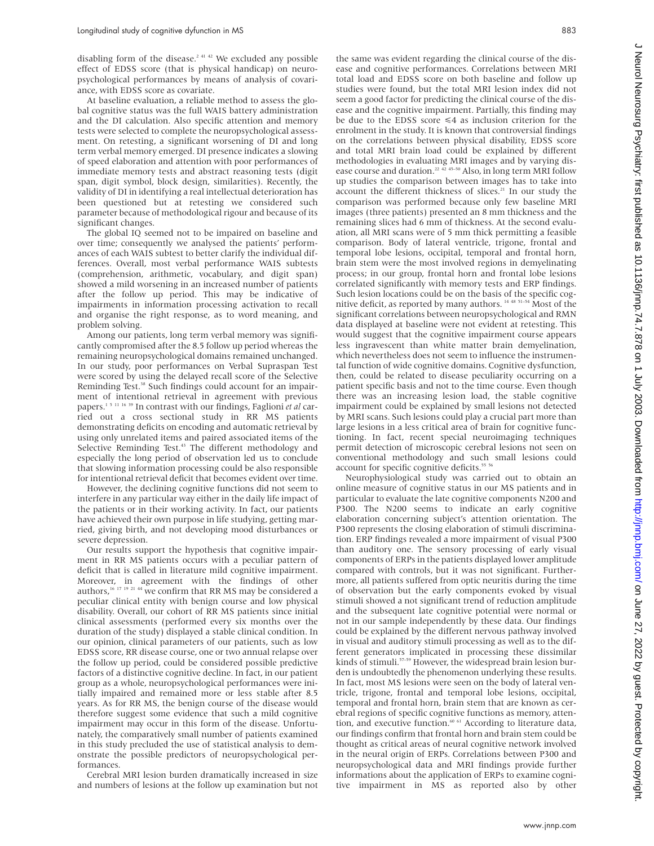disabling form of the disease.<sup>2 41 42</sup> We excluded any possible effect of EDSS score (that is physical handicap) on neuropsychological performances by means of analysis of covariance, with EDSS score as covariate.

At baseline evaluation, a reliable method to assess the global cognitive status was the full WAIS battery administration and the DI calculation. Also specific attention and memory tests were selected to complete the neuropsychological assessment. On retesting, a significant worsening of DI and long term verbal memory emerged. DI presence indicates a slowing of speed elaboration and attention with poor performances of immediate memory tests and abstract reasoning tests (digit span, digit symbol, block design, similarities). Recently, the validity of DI in identifying a real intellectual deterioration has been questioned but at retesting we considered such parameter because of methodological rigour and because of its significant changes.

The global IQ seemed not to be impaired on baseline and over time; consequently we analysed the patients' performances of each WAIS subtest to better clarify the individual differences. Overall, most verbal performance WAIS subtests (comprehension, arithmetic, vocabulary, and digit span) showed a mild worsening in an increased number of patients after the follow up period. This may be indicative of impairments in information processing activation to recall and organise the right response, as to word meaning, and problem solving.

Among our patients, long term verbal memory was significantly compromised after the 8.5 follow up period whereas the remaining neuropsychological domains remained unchanged. In our study, poor performances on Verbal Supraspan Test were scored by using the delayed recall score of the Selective Reminding Test.<sup>38</sup> Such findings could account for an impairment of intentional retrieval in agreement with previous papers.1 5 11 16 39 In contrast with our findings, Faglioni *et al* carried out a cross sectional study in RR MS patients demonstrating deficits on encoding and automatic retrieval by using only unrelated items and paired associated items of the Selective Reminding Test.<sup>43</sup> The different methodology and especially the long period of observation led us to conclude that slowing information processing could be also responsible for intentional retrieval deficit that becomes evident over time.

However, the declining cognitive functions did not seem to interfere in any particular way either in the daily life impact of the patients or in their working activity. In fact, our patients have achieved their own purpose in life studying, getting married, giving birth, and not developing mood disturbances or severe depression.

Our results support the hypothesis that cognitive impairment in RR MS patients occurs with a peculiar pattern of deficit that is called in literature mild cognitive impairment. Moreover, in agreement with the findings of other authors,  $16 \times 17 \times 19 \times 21 \times 44$  we confirm that RR MS may be considered a peculiar clinical entity with benign course and low physical disability. Overall, our cohort of RR MS patients since initial clinical assessments (performed every six months over the duration of the study) displayed a stable clinical condition. In our opinion, clinical parameters of our patients, such as low EDSS score, RR disease course, one or two annual relapse over the follow up period, could be considered possible predictive factors of a distinctive cognitive decline. In fact, in our patient group as a whole, neuropsychological performances were initially impaired and remained more or less stable after 8.5 years. As for RR MS, the benign course of the disease would therefore suggest some evidence that such a mild cognitive impairment may occur in this form of the disease. Unfortunately, the comparatively small number of patients examined in this study precluded the use of statistical analysis to demonstrate the possible predictors of neuropsychological performances.

Cerebral MRI lesion burden dramatically increased in size and numbers of lesions at the follow up examination but not the same was evident regarding the clinical course of the disease and cognitive performances. Correlations between MRI total load and EDSS score on both baseline and follow up studies were found, but the total MRI lesion index did not seem a good factor for predicting the clinical course of the disease and the cognitive impairment. Partially, this finding may be due to the EDSS score  $\leq 4$  as inclusion criterion for the enrolment in the study. It is known that controversial findings on the correlations between physical disability, EDSS score and total MRI brain load could be explained by different methodologies in evaluating MRI images and by varying disease course and duration.<sup>22</sup> 42 45-50</sup> Also, in long term MRI follow up studies the comparison between images has to take into account the different thickness of slices.<sup>21</sup> In our study the comparison was performed because only few baseline MRI images (three patients) presented an 8 mm thickness and the remaining slices had 6 mm of thickness. At the second evaluation, all MRI scans were of 5 mm thick permitting a feasible comparison. Body of lateral ventricle, trigone, frontal and temporal lobe lesions, occipital, temporal and frontal horn, brain stem were the most involved regions in demyelinating process; in our group, frontal horn and frontal lobe lesions correlated significantly with memory tests and ERP findings. Such lesion locations could be on the basis of the specific cognitive deficit, as reported by many authors. 14 48 51–54 Most of the significant correlations between neuropsychological and RMN data displayed at baseline were not evident at retesting. This would suggest that the cognitive impairment course appears less ingravescent than white matter brain demyelination, which nevertheless does not seem to influence the instrumental function of wide cognitive domains. Cognitive dysfunction, then, could be related to disease peculiarity occurring on a patient specific basis and not to the time course. Even though there was an increasing lesion load, the stable cognitive impairment could be explained by small lesions not detected by MRI scans. Such lesions could play a crucial part more than large lesions in a less critical area of brain for cognitive functioning. In fact, recent special neuroimaging techniques permit detection of microscopic cerebral lesions not seen on conventional methodology and such small lesions could account for specific cognitive deficits.<sup>55</sup>

Neurophysiological study was carried out to obtain an online measure of cognitive status in our MS patients and in particular to evaluate the late cognitive components N200 and P300. The N200 seems to indicate an early cognitive elaboration concerning subject's attention orientation. The P300 represents the closing elaboration of stimuli discrimination. ERP findings revealed a more impairment of visual P300 than auditory one. The sensory processing of early visual components of ERPs in the patients displayed lower amplitude compared with controls, but it was not significant. Furthermore, all patients suffered from optic neuritis during the time of observation but the early components evoked by visual stimuli showed a not significant trend of reduction amplitude and the subsequent late cognitive potential were normal or not in our sample independently by these data. Our findings could be explained by the different nervous pathway involved in visual and auditory stimuli processing as well as to the different generators implicated in processing these dissimilar kinds of stimuli.<sup>57-59</sup> However, the widespread brain lesion burden is undoubtedly the phenomenon underlying these results. In fact, most MS lesions were seen on the body of lateral ventricle, trigone, frontal and temporal lobe lesions, occipital, temporal and frontal horn, brain stem that are known as cerebral regions of specific cognitive functions as memory, attention, and executive function.<sup>60 61</sup> According to literature data, our findings confirm that frontal horn and brain stem could be thought as critical areas of neural cognitive network involved in the neural origin of ERPs. Correlations between P300 and neuropsychological data and MRI findings provide further informations about the application of ERPs to examine cognitive impairment in MS as reported also by other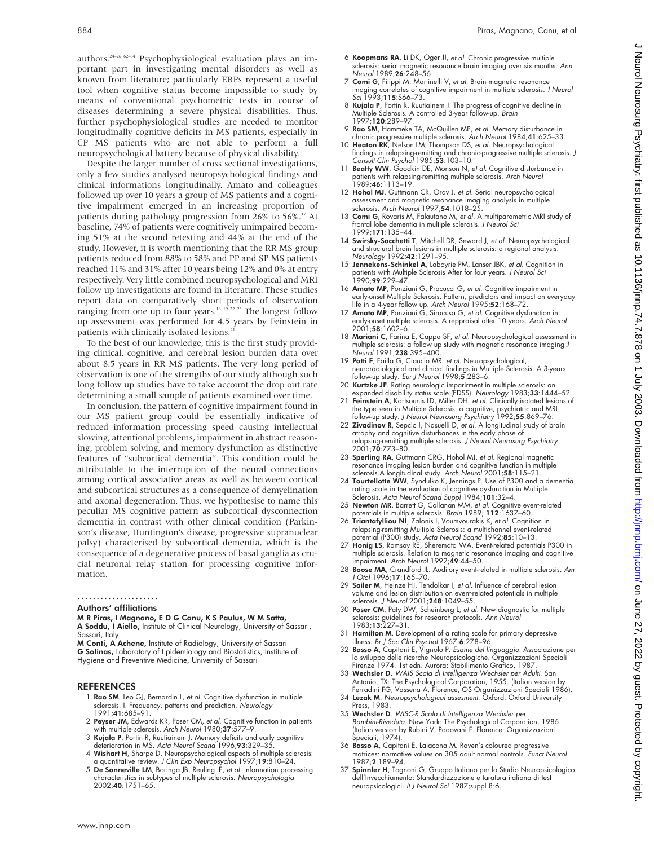authors.<sup>24-26 62-64</sup> Psychophysiological evaluation plays an important part in investigating mental disorders as well as known from literature; particularly ERPs represent a useful tool when cognitive status become impossible to study by means of conventional psychometric tests in course of diseases determining a severe physical disabilities. Thus, further psychophysiological studies are needed to monitor longitudinally cognitive deficits in MS patients, especially in CP MS patients who are not able to perform a full neuropsychological battery because of physical disability.

Despite the larger number of cross sectional investigations, only a few studies analysed neuropsychological findings and clinical informations longitudinally. Amato and colleagues followed up over 10 years a group of MS patients and a cognitive impairment emerged in an increasing proportion of patients during pathology progression from 26% to 56%.<sup>17</sup> At baseline, 74% of patients were cognitively unimpaired becoming 51% at the second retesting and 44% at the end of the study. However, it is worth mentioning that the RR MS group patients reduced from 88% to 58% and PP and SP MS patients reached 11% and 31% after 10 years being 12% and 0% at entry respectively. Very little combined neuropsychological and MRI follow up investigations are found in literature. These studies report data on comparatively short periods of observation ranging from one up to four years.<sup>18 19</sup> 22 <sup>23</sup> The longest follow up assessment was performed for 4.5 years by Feinstein in patients with clinically isolated lesions.<sup>2</sup>

To the best of our knowledge, this is the first study providing clinical, cognitive, and cerebral lesion burden data over about 8.5 years in RR MS patients. The very long period of observation is one of the strengths of our study although such long follow up studies have to take account the drop out rate determining a small sample of patients examined over time.

In conclusion, the pattern of cognitive impairment found in our MS patient group could be essentially indicative of reduced information processing speed causing intellectual slowing, attentional problems, impairment in abstract reasoning, problem solving, and memory dysfunction as distinctive features of "subcortical dementia". This condition could be attributable to the interruption of the neural connections among cortical associative areas as well as between cortical and subcortical structures as a consequence of demyelination and axonal degeneration. Thus, we hypothesise to name this peculiar MS cognitive pattern as subcortical dysconnection dementia in contrast with other clinical condition (Parkinson's disease, Huntington's disease, progressive supranuclear palsy) characterised by subcortical dementia, which is the consequence of a degenerative process of basal ganglia as crucial neuronal relay station for processing cognitive information.

.....................

#### Authors' affiliations

M R Piras, I Magnano, E D G Canu, K S Paulus, W M Satta, A Soddu, I Aiello, Institute of Clinical Neurology, University of Sassari, Sassari, Italy

M Conti, A Achene, Institute of Radiology, University of Sassari G Solinas, Laboratory of Epidemiology and Biostatistics, Institute of Hygiene and Preventive Medicine, University of Sassari

#### REFERENCES

- 1 Rao SM, Leo GJ, Bernardin L, et al. Cognitive dysfunction in multiple sclerosis. I. Frequency, patterns and prediction. Neurology 1991;41:685–91.
- 2 Peyser JM, Edwards KR, Poser CM, et al. Cognitive function in patients with multiple sclerosis. Arch Neurol 1980;**37**:577–9.
- 3 Kujala P, Portin R, Ruutiainem J. Memory deficits and early cognitive deterioration in MS. Acta Neurol Scand 1996;93:329–35. 4 Wishart H, Sharpe D. Neuropsychological aspects of multiple sclerosis:
- a quantitative review. J Clin Exp Neuropsychol 1997;19:810–24.
- 5 De Sonneville LM, Boringa JB, Reuling IE, et al. Information processing characteristics in subtypes of multiple sclerosis. Neuropsychologia 2002;40:1751–65.
- 6 Koopmans RA, Li DK, Oger JJ, et al. Chronic progressive multiple sclerosis: serial magnetic resonance brain imaging over six months. Ann Neurol 1989;26:248–56.
- 7 Comi G, Filippi M, Martinelli V, et al. Brain magnetic resonance imaging correlates of cognitive impairment in multiple sclerosis. J Neurol Sci 1993;115:S66-73.
- 8 **Kujala P**, Portin R, Ruutiainem J. The progress of cognitive decline in<br>Multiple Sclerosis. A controlled 3-year follow-up. *Brain*<br>1997;**120**:289–97.
- 9 Rao SM, Hammeke TA, McQuillen MP, et al. Memory disturbance in chronic progressive multiple sclerosis. Arch Neurol 1984;41:625–33.<br>10 Heaton RK, Nelson LM, Thompson DS, et al. Neuropsychological
- findings in relapsing-remitting and chronic-progressive multiple sclerosis. J Consult Clin Psychol 1985;53:103–10.
- 11 Beatty WW, Goodkin DE, Monson N, et al. Cognitive disturbance in patients with relapsing-remitting multiple sclerosis. Arch Neurol 1989;46:1113–19.
- 12 Hohol MJ, Guttmann CR, Orav J, et al. Serial neuropsychological assessment and magnetic resonance imaging analysis in multiple sclerosis. Arch Neurol 1997;54:1018–25.
- 13 Comi G, Rovaris M, Falautano M, et al. A multiparametric MRI study of frontal lobe dementia in multiple sclerosis. J Neurol Sci 1999;171:135–44.
- 14 Swirsky-Sacchetti T, Mitchell DR, Seward J, et al. Neuropsychological and structural brain lesions in multiple sclerosis: a regional analysis. Neurology 1992;42:1291–95.
- 15 Jennekens-Schinkel A, Laboyrie PM, Lanser JBK, et al. Cognition in patients with Multiple Sclerosis After for four years. J Neurol Sci 1990;99:229–47.
- 16 Amato MP, Ponziani G, Pracucci G, et al. Cognitive impairment in early-onset Multiple Sclerosis. Pattern, predictors and impact on everyday<br>life in a 4-year follow up. Arch Neurol 1995;**52**:168–72.<br>17 **Amato MP**, Ponziani G, Siracusa G, *et al.* Cognitive dysfunction in
- early-onset multiple sclerosis. A reppraisal after 10 years. Arch Neurol 2001;58:1602–6.
- 18 Mariani C, Farina E, Cappa SF, et al. Neuropsychological assessment in multiple sclerosis: a follow up study with magnetic resonance imaging J<br>Neurol 1991;**238**:395–400.
- 19 Patti F, Failla G, Ciancio MR, et al. Neuropsychological, neuroradiological and clinical findings in Multiple Sclerosis. A 3-years follow-up study. Eur J Neurol 1998;5:283–6.
- 20 Kurtzke JF. Rating neurologic imparirment in multiple sclerosis: an expanded disability status scale (EDSS). Neurology 1983;33:1444–52.
- 21 Feinstein A, Kartsounis LD, Miller DH, et al. Clinically isolated lesions of the type seen in Multiple Sclerosis: a cognitive, psychiatric and MRI<br>follow-up study. J Neurol Neurosurg Psychiatry 1992;**55**:869–76.
- 22 Zivadinov R, Sepcic J, Nasuelli D, et al. A longitudinal study of brain atrophy and cognitive disturbances in the early phase of relapsing-remitting multiple sclerosis. J Neurol Neurosurg Psychiatry<br>2001;**70**:773–80.
- 23 Sperling RA, Guttmann CRG, Hohol MJ, et al. Regional magnetic resonance imaging lesion burden and cognitive function in multiple sclerosis.A longitudinal study. Arch Neurol 2001;58:115-21.
- 24 Tourtellotte WW, Syndulko K, Jennings P. Use of P300 and a dementia rating scale in the evaluation of cognitive dysfunction in Multiple<br>Sclerosis. *Acta Neurol Scand Suppl* 1984;**101**:32–4.
- 25 Newton MR, Barrett G, Callanan MM, et al. Cognitive event-related potentials in multiple sclerosis. Brain 1989; 112:1637-60.
- 26 Triantafylliou NI, Zalonis I, Voumvourakis K, et al. Cognition in relapsing-remitting Multiple Sclerosis: a multichannel event-related
- potential (P300) study. A*cta Neurol Scand* 1992;**85**:10–13.<br>27 **Honig LS**, Ramsay RE, Sheremata WA. Event-related potentials P300 in multiple sclerosis. Relation to magnetic resonance imaging and cognitive impairment. Arch Neurol 1992;49:44-50.
- 28 Boose MA, Crandford JL. Auditory event-related in multiple sclerosis. Am J Otol 1996;17:165–70.
- 29 Sailer M, Heinze HJ, Tendolkar I, et al. Influence of cerebral lesion volume and lesion distribution on event-related potentials in multiple<br>sclerosis. *J Neurol* 2001;**248**:1049–55.
- 30 Poser CM, Paty DW, Scheinberg L, et al. New diagnostic for multiple sclerosis: guidelines for research protocols. Ann Neurol 1983;13:227–31.
- 31 Hamilton M. Development of a rating scale for primary depressive illness. Br J Soc Clin Psychol 1967;6:278–96.
- 32 Basso A, Capitani E, Vignolo P. Esame del linguaggio. Associazione per lo sviluppo delle ricerche Neuropsicologiche. Organizzazioni Speciali Firenze 1974. 1st edn. Aurora: Stabilimento Grafico, 1987.
- 33 Wechsler D. WAIS Scala di Intelligenza Wechsler per Adulti. San Antonio, TX: The Psychological Corporation, 1955. (Italian version by
- Ferradini FG, Vassena A. Florence, OS Organizzazioni Speciali 1986).<br>34 **Lezak M**. Ne*uropsychological assesment*. Oxford: Oxford University Press, 1983.
- 35 Wechsler D. WISC-R Scala di Intelligenza Wechsler per Bambini-Riveduta..New York: The Psychological Corporation, 1986. (Italian version by Rubini V, Padovani F. Florence: Organizzazioni Speciali, 1974).
- 36 Basso A, Capitani E, Laiacona M. Raven's coloured progressive matrices: normative values on 305 adult normal controls. Funct Neurol 1987;2:189–94.
- 37 Spinnler H, Tognoni G. Gruppo Italiano per lo Studio Neuropsicologico dell'Invecchiamento: Standardizzazione e taratura italiana di test neuropsicologici. It J Neurol Sci 1987;suppl 8:6.